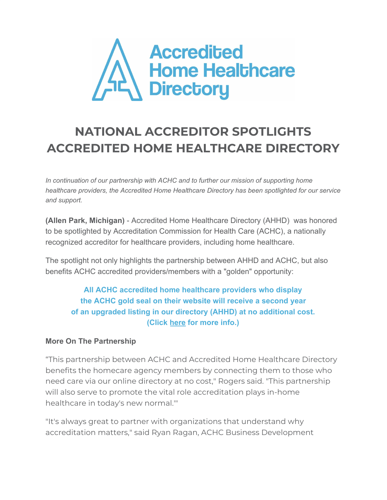

# **NATIONAL ACCREDITOR SPOTLIGHTS ACCREDITED HOME HEALTHCARE DIRECTORY**

*In continuation of our partnership with ACHC and to further our mission of supporting home healthcare providers, the Accredited Home Healthcare Directory has been spotlighted for our service and support.*

**(Allen Park, Michigan)** - Accredited Home Healthcare Directory (AHHD) was honored to be spotlighted by Accreditation Commission for Health Care (ACHC), a nationally recognized accreditor for healthcare providers, including home healthcare.

The spotlight not only highlights the partnership between AHHD and ACHC, but also benefits ACHC accredited providers/members with a "golden" opportunity:

## **All ACHC accredited home healthcare providers who display the ACHC gold seal on their website will receive a second year of an upgraded listing in our directory (AHHD) at no additional cost. (Click here for more info.)**

#### **More On The Partnership**

"This partnership between ACHC and Accredited Home Healthcare Directory benefits the homecare agency members by connecting them to those who need care via our online directory at no cost," Rogers said. "This partnership will also serve to promote the vital role accreditation plays in-home healthcare in today's new normal.'"

"It's always great to partner with organizations that understand why accreditation matters," said Ryan Ragan, ACHC Business Development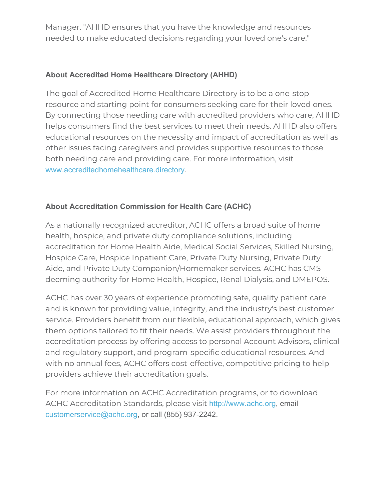Manager. "AHHD ensures that you have the knowledge and resources needed to make educated decisions regarding your loved one's care."

#### **About Accredited Home Healthcare Directory (AHHD)**

The goal of Accredited Home Healthcare Directory is to be a one-stop resource and starting point for consumers seeking care for their loved ones. By connecting those needing care with accredited providers who care, AHHD helps consumers find the best services to meet their needs. AHHD also offers educational resources on the necessity and impact of accreditation as well as other issues facing caregivers and provides supportive resources to those both needing care and providing care. For more information, visit www.accreditedhomehealthcare.directory.

### **About Accreditation Commission for Health Care (ACHC)**

As a nationally recognized accreditor, ACHC offers a broad suite of home health, hospice, and private duty compliance solutions, including accreditation for Home Health Aide, Medical Social Services, Skilled Nursing, Hospice Care, Hospice Inpatient Care, Private Duty Nursing, Private Duty Aide, and Private Duty Companion/Homemaker services. ACHC has CMS deeming authority for Home Health, Hospice, Renal Dialysis, and DMEPOS.

ACHC has over 30 years of experience promoting safe, quality patient care and is known for providing value, integrity, and the industry's best customer service. Providers benefit from our flexible, educational approach, which gives them options tailored to fit their needs. We assist providers throughout the accreditation process by offering access to personal Account Advisors, clinical and regulatory support, and program-specific educational resources. And with no annual fees, ACHC offers cost-effective, competitive pricing to help providers achieve their accreditation goals.

For more information on ACHC Accreditation programs, or to download ACHC Accreditation Standards, please visit http://www.achc.org, email customerservice@achc.org, or call (855) 937-2242.